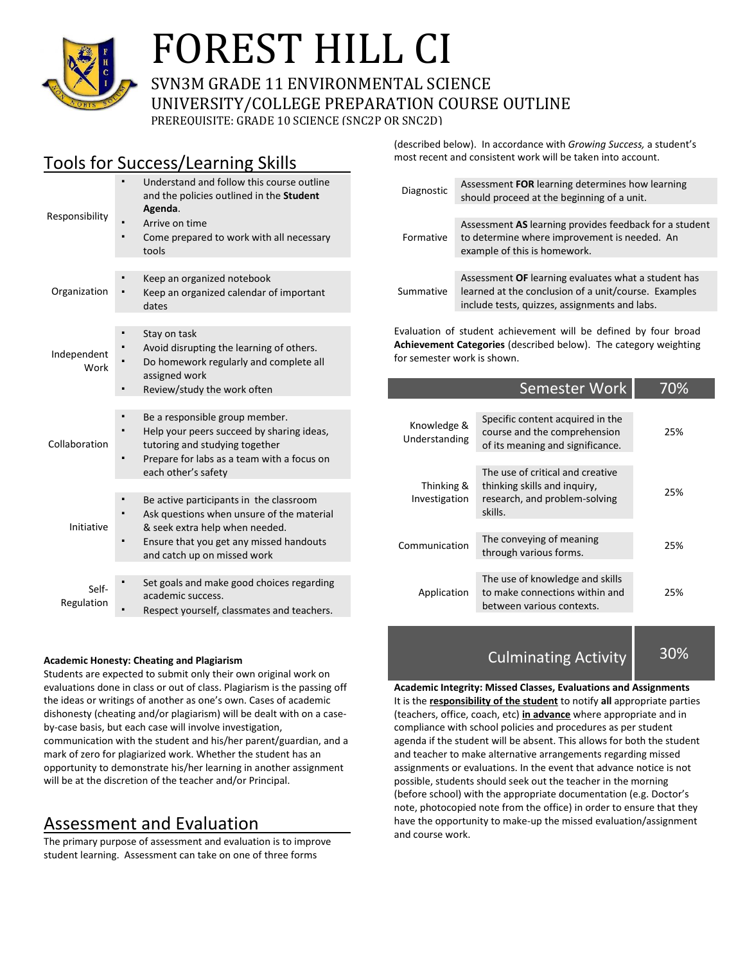

# FOREST HILL CI

SVN3M GRADE 11 ENVIRONMENTAL SCIENCE UNIVERSITY/COLLEGE PREPARATION COURSE OUTLINE PREREQUISITE: GRADE 10 SCIENCE (SNC2P OR SNC2D)

## Tools for Success/Learning Skills

| Responsibility      | Understand and follow this course outline<br>and the policies outlined in the Student<br>Agenda.<br>Arrive on time<br>Come prepared to work with all necessary<br>tools                               |
|---------------------|-------------------------------------------------------------------------------------------------------------------------------------------------------------------------------------------------------|
| Organization        | Keep an organized notebook<br>Keep an organized calendar of important<br>dates                                                                                                                        |
| Independent<br>Work | Stay on task<br>Avoid disrupting the learning of others.<br>Do homework regularly and complete all<br>assigned work<br>Review/study the work often                                                    |
| Collaboration       | Be a responsible group member.<br>Help your peers succeed by sharing ideas,<br>tutoring and studying together<br>Prepare for labs as a team with a focus on<br>each other's safety                    |
| Initiative          | Be active participants in the classroom<br>Ask questions when unsure of the material<br>& seek extra help when needed.<br>Ensure that you get any missed handouts<br>E<br>and catch up on missed work |
| Self-<br>Regulation | Set goals and make good choices regarding<br>academic success.<br>Respect yourself, classmates and teachers.                                                                                          |

#### **Academic Honesty: Cheating and Plagiarism**

Students are expected to submit only their own original work on evaluations done in class or out of class. Plagiarism is the passing off the ideas or writings of another as one's own. Cases of academic dishonesty (cheating and/or plagiarism) will be dealt with on a caseby-case basis, but each case will involve investigation, communication with the student and his/her parent/guardian, and a mark of zero for plagiarized work. Whether the student has an opportunity to demonstrate his/her learning in another assignment will be at the discretion of the teacher and/or Principal.

### Assessment and Evaluation

The primary purpose of assessment and evaluation is to improve student learning. Assessment can take on one of three forms

(described below). In accordance with *Growing Success,* a student's most recent and consistent work will be taken into account.

| Diagnostic | Assessment FOR learning determines how learning<br>should proceed at the beginning of a unit.                                                                |
|------------|--------------------------------------------------------------------------------------------------------------------------------------------------------------|
| Formative  | Assessment AS learning provides feedback for a student<br>to determine where improvement is needed. An<br>example of this is homework.                       |
|            |                                                                                                                                                              |
| Summative  | Assessment OF learning evaluates what a student has<br>learned at the conclusion of a unit/course. Examples<br>include tests, quizzes, assignments and labs. |

Evaluation of student achievement will be defined by four broad **Achievement Categories** (described below). The category weighting for semester work is shown.

|                              | 70%                                                                                                          |     |
|------------------------------|--------------------------------------------------------------------------------------------------------------|-----|
| Knowledge &<br>Understanding | Specific content acquired in the<br>course and the comprehension<br>of its meaning and significance.         | 25% |
| Thinking &<br>Investigation  | The use of critical and creative<br>thinking skills and inquiry,<br>research, and problem-solving<br>skills. | 25% |
| Communication                | The conveying of meaning<br>through various forms.                                                           | 25% |
| Application                  | The use of knowledge and skills<br>to make connections within and<br>between various contexts.               | 25% |

Culminating Activity 30%

**Academic Integrity: Missed Classes, Evaluations and Assignments** It is the **responsibility of the student** to notify **all** appropriate parties (teachers, office, coach, etc) **in advance** where appropriate and in compliance with school policies and procedures as per student agenda if the student will be absent. This allows for both the student and teacher to make alternative arrangements regarding missed assignments or evaluations. In the event that advance notice is not possible, students should seek out the teacher in the morning (before school) with the appropriate documentation (e.g. Doctor's note, photocopied note from the office) in order to ensure that they have the opportunity to make-up the missed evaluation/assignment and course work.